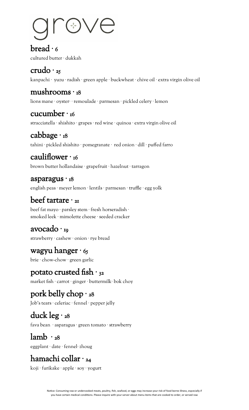#### $break · 6$

cultured butter · dukkah

## $crudo·<sub>25</sub>$

kanpachi · yuzu · radish · green apple · buckwheat · chive oil · extra virgin olive oil

#### mushrooms · 18

lions mane · oyster· · remoulade · parmesan · pickled celery · lemon

## cucumber  $\cdot$  16

stracciatella · shishito · grapes · red wine · quinoa · extra virgin olive oil

## cabbage · 18

tahini · pickled shishito · pomegranate · red onion · dill · puffed farro

#### cauliflower  $\cdot$  16

brown butter hollandaise · grapefruit · hazelnut · tarragon

#### asparagus · 18

english peas · meyer lemon · lentils · parmesan · truffle · egg yolk

## beef tartare  $\cdot$  21

beef fat mayo · parsley stem · fresh horseradish · smoked leek · mimolette cheese · seeded cracker

#### avocado · 19

strawberry · cashew · onion · rye bread

#### wagyu hanger  $·$  65

brie · chow-chow · green garlic

#### potato crusted fish  $\cdot$  32

market fish · carrot · ginger · buttermilk· bok choy

## pork belly chop · 28

Job's tears · celeriac · fennel · pepper jelly

#### duck leg  $\cdot$  28

fava bean · asparagus · green tomato · strawberry

# $lamb · 28$

eggplant · date · fennel· zhoug

# hamachi collar · 24

koji · furikake · apple · soy · yogurt